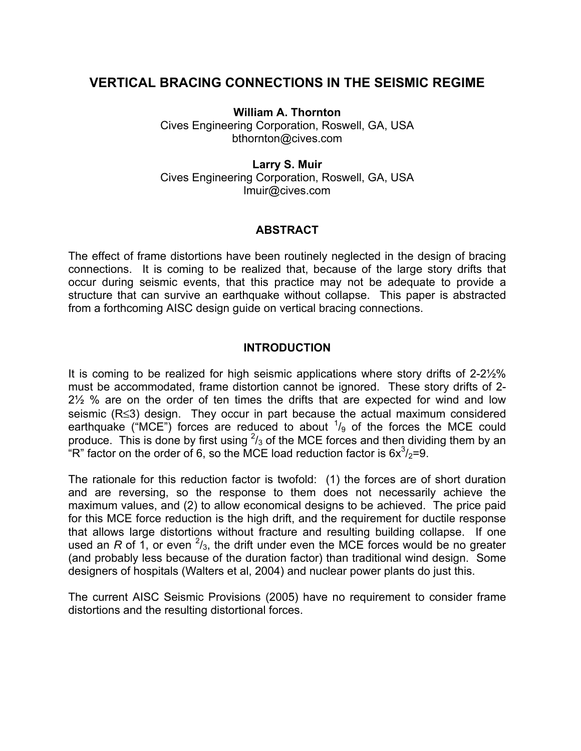# **VERTICAL BRACING CONNECTIONS IN THE SEISMIC REGIME**

**William A. Thornton** 

Cives Engineering Corporation, Roswell, GA, USA bthornton@cives.com

**Larry S. Muir**  Cives Engineering Corporation, Roswell, GA, USA lmuir@cives.com

# **ABSTRACT**

The effect of frame distortions have been routinely neglected in the design of bracing connections. It is coming to be realized that, because of the large story drifts that occur during seismic events, that this practice may not be adequate to provide a structure that can survive an earthquake without collapse. This paper is abstracted from a forthcoming AISC design guide on vertical bracing connections.

# **INTRODUCTION**

It is coming to be realized for high seismic applications where story drifts of 2-2½% must be accommodated, frame distortion cannot be ignored. These story drifts of 2- 2½ % are on the order of ten times the drifts that are expected for wind and low seismic (R≤3) design. They occur in part because the actual maximum considered earthquake ("MCE") forces are reduced to about  $\frac{1}{9}$  of the forces the MCE could produce. This is done by first using  $2/3$  of the MCE forces and then dividing them by an "R" factor on the order of 6, so the MCE load reduction factor is  $6x^3/2=9$ .

The rationale for this reduction factor is twofold: (1) the forces are of short duration and are reversing, so the response to them does not necessarily achieve the maximum values, and (2) to allow economical designs to be achieved. The price paid for this MCE force reduction is the high drift, and the requirement for ductile response that allows large distortions without fracture and resulting building collapse. If one used an  $R$  of 1, or even  $\frac{2}{3}$ , the drift under even the MCE forces would be no greater (and probably less because of the duration factor) than traditional wind design. Some designers of hospitals (Walters et al, 2004) and nuclear power plants do just this.

The current AISC Seismic Provisions (2005) have no requirement to consider frame distortions and the resulting distortional forces.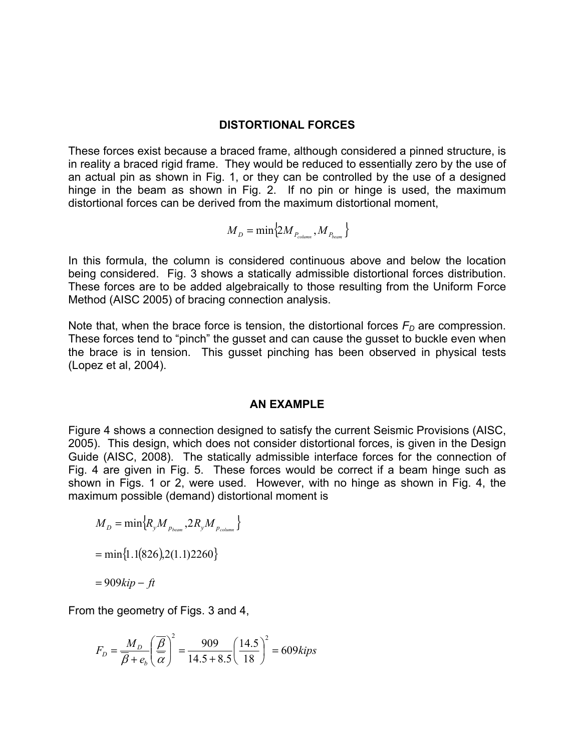#### **DISTORTIONAL FORCES**

These forces exist because a braced frame, although considered a pinned structure, is in reality a braced rigid frame. They would be reduced to essentially zero by the use of an actual pin as shown in Fig. 1, or they can be controlled by the use of a designed hinge in the beam as shown in Fig. 2. If no pin or hinge is used, the maximum distortional forces can be derived from the maximum distortional moment,

$$
\boldsymbol{M}_{D} = \min \{ 2 \boldsymbol{M}_{P_{column}}, \boldsymbol{M}_{P_{beam}} \}
$$

In this formula, the column is considered continuous above and below the location being considered. Fig. 3 shows a statically admissible distortional forces distribution. These forces are to be added algebraically to those resulting from the Uniform Force Method (AISC 2005) of bracing connection analysis.

Note that, when the brace force is tension, the distortional forces  $F<sub>D</sub>$  are compression. These forces tend to "pinch" the gusset and can cause the gusset to buckle even when the brace is in tension. This gusset pinching has been observed in physical tests (Lopez et al, 2004).

#### **AN EXAMPLE**

Figure 4 shows a connection designed to satisfy the current Seismic Provisions (AISC, 2005). This design, which does not consider distortional forces, is given in the Design Guide (AISC, 2008). The statically admissible interface forces for the connection of Fig. 4 are given in Fig. 5. These forces would be correct if a beam hinge such as shown in Figs. 1 or 2, were used. However, with no hinge as shown in Fig. 4, the maximum possible (demand) distortional moment is

$$
M_D = \min \{ R_y M_{p_{beam}}, 2R_y M_{p_{column}} \}
$$
  
= min{1.1(826),2(1.1)2260}  
= 909kip - ft

From the geometry of Figs. 3 and 4,

$$
F_D = \frac{M_D}{\overline{\beta} + e_b} \left(\frac{\overline{\beta}}{\overline{\alpha}}\right)^2 = \frac{909}{14.5 + 8.5} \left(\frac{14.5}{18}\right)^2 = 609 \text{kips}
$$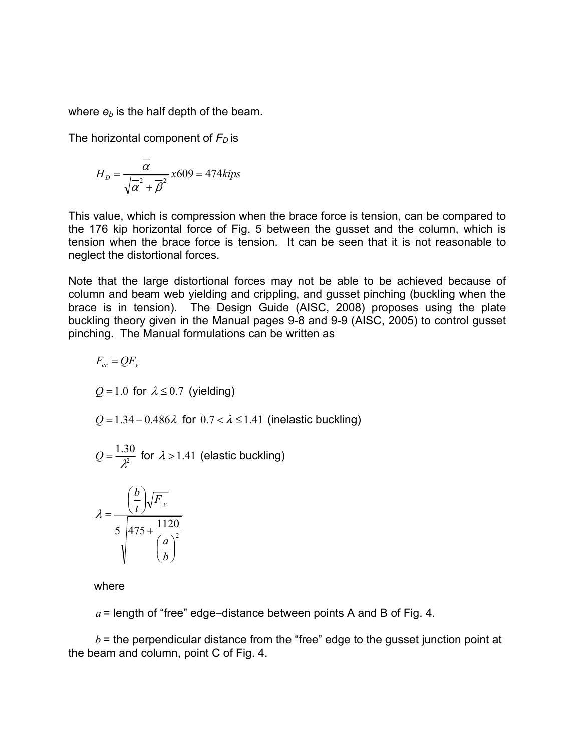where  $e_b$  is the half depth of the beam.

The horizontal component of  $F<sub>D</sub>$  is

$$
H_D = \frac{\overline{\alpha}}{\sqrt{\overline{\alpha}^2 + \overline{\beta}^2}} x609 = 474 \text{kips}
$$

This value, which is compression when the brace force is tension, can be compared to the 176 kip horizontal force of Fig. 5 between the gusset and the column, which is tension when the brace force is tension. It can be seen that it is not reasonable to neglect the distortional forces.

Note that the large distortional forces may not be able to be achieved because of column and beam web yielding and crippling, and gusset pinching (buckling when the brace is in tension). The Design Guide (AISC, 2008) proposes using the plate buckling theory given in the Manual pages 9-8 and 9-9 (AISC, 2005) to control gusset pinching. The Manual formulations can be written as

$$
F_{cr} = QF_y
$$
  
Q = 1.0 for  $\lambda \le 0.7$  (yielding)  
Q = 1.34 - 0.486 $\lambda$  for 0.7  $\lambda \le 1.41$  (inelastic buckling)  

$$
Q = \frac{1.30}{\lambda^2}
$$
 for  $\lambda > 1.41$  (elastic buckling)  

$$
\lambda = \frac{\left(\frac{b}{t}\right)\sqrt{F_y}}{5\sqrt{475 + \frac{1120}{\left(\frac{a}{b}\right)^2}}}
$$

where

*a* = length of "free" edge−distance between points A and B of Fig. 4.

 $b =$  the perpendicular distance from the "free" edge to the gusset junction point at the beam and column, point C of Fig. 4.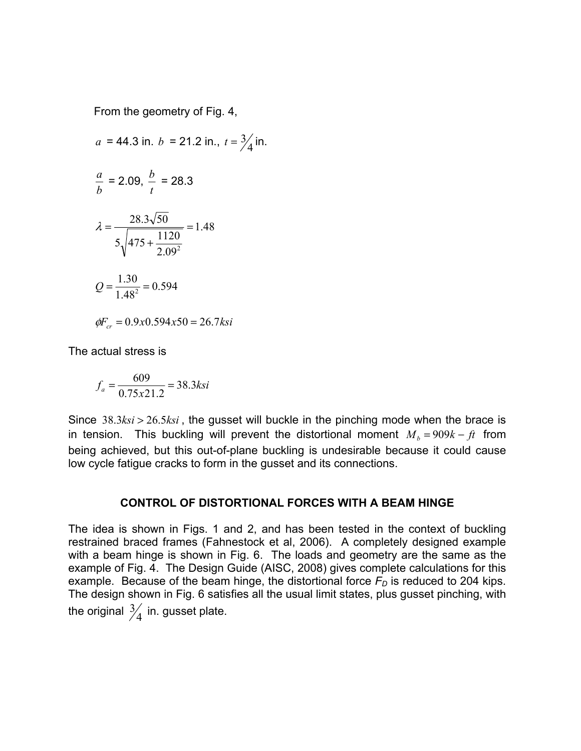From the geometry of Fig. 4,

*a* = 44.3 in. *b* = 21.2 in., 
$$
t = \frac{3}{4}
$$
 in.  
\n
$$
\frac{a}{b} = 2.09, \frac{b}{t} = 28.3
$$
\n
$$
\lambda = \frac{28.3\sqrt{50}}{5\sqrt{475 + \frac{1120}{2.09^2}}} = 1.48
$$
\n
$$
Q = \frac{1.30}{1.48^2} = 0.594
$$
\n
$$
\phi F_{cr} = 0.9x0.594x50 = 26.7ksi
$$

The actual stress is

$$
f_a = \frac{609}{0.75 \times 21.2} = 38.3
$$
ksi

Since 38.3*ksi* > 26.5*ksi* , the gusset will buckle in the pinching mode when the brace is in tension. This buckling will prevent the distortional moment  $M_b = 909k - ft$  from being achieved, but this out-of-plane buckling is undesirable because it could cause low cycle fatigue cracks to form in the gusset and its connections.

## **CONTROL OF DISTORTIONAL FORCES WITH A BEAM HINGE**

The idea is shown in Figs. 1 and 2, and has been tested in the context of buckling restrained braced frames (Fahnestock et al, 2006). A completely designed example with a beam hinge is shown in Fig. 6. The loads and geometry are the same as the example of Fig. 4. The Design Guide (AISC, 2008) gives complete calculations for this example. Because of the beam hinge, the distortional force  $F<sub>D</sub>$  is reduced to 204 kips. The design shown in Fig. 6 satisfies all the usual limit states, plus gusset pinching, with the original  $\frac{3}{4}$  in. gusset plate.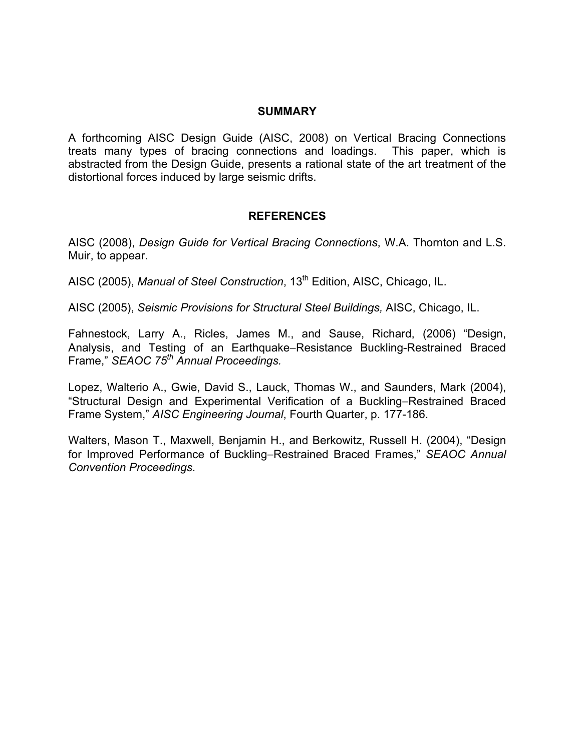## **SUMMARY**

A forthcoming AISC Design Guide (AISC, 2008) on Vertical Bracing Connections treats many types of bracing connections and loadings. This paper, which is abstracted from the Design Guide, presents a rational state of the art treatment of the distortional forces induced by large seismic drifts.

### **REFERENCES**

AISC (2008), *Design Guide for Vertical Bracing Connections*, W.A. Thornton and L.S. Muir, to appear.

AISC (2005), *Manual of Steel Construction*, 13<sup>th</sup> Edition, AISC, Chicago, IL.

AISC (2005), *Seismic Provisions for Structural Steel Buildings,* AISC, Chicago, IL.

Fahnestock, Larry A., Ricles, James M., and Sause, Richard, (2006) "Design, Analysis, and Testing of an Earthquake−Resistance Buckling-Restrained Braced Frame," *SEAOC 75th Annual Proceedings.*

Lopez, Walterio A., Gwie, David S., Lauck, Thomas W., and Saunders, Mark (2004), "Structural Design and Experimental Verification of a Buckling−Restrained Braced Frame System," *AISC Engineering Journal*, Fourth Quarter, p. 177-186.

Walters, Mason T., Maxwell, Benjamin H., and Berkowitz, Russell H. (2004), "Design for Improved Performance of Buckling−Restrained Braced Frames," *SEAOC Annual Convention Proceedings*.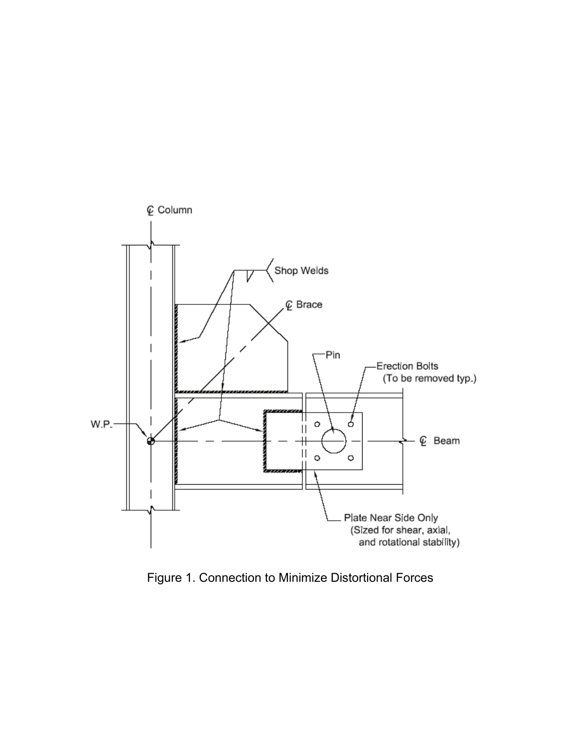

Figure 1. Connection to Minimize Distortional Forces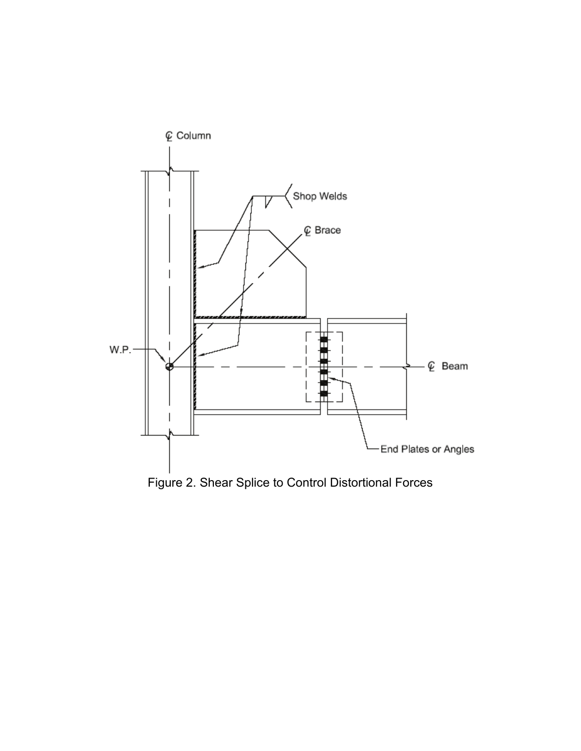

Figure 2. Shear Splice to Control Distortional Forces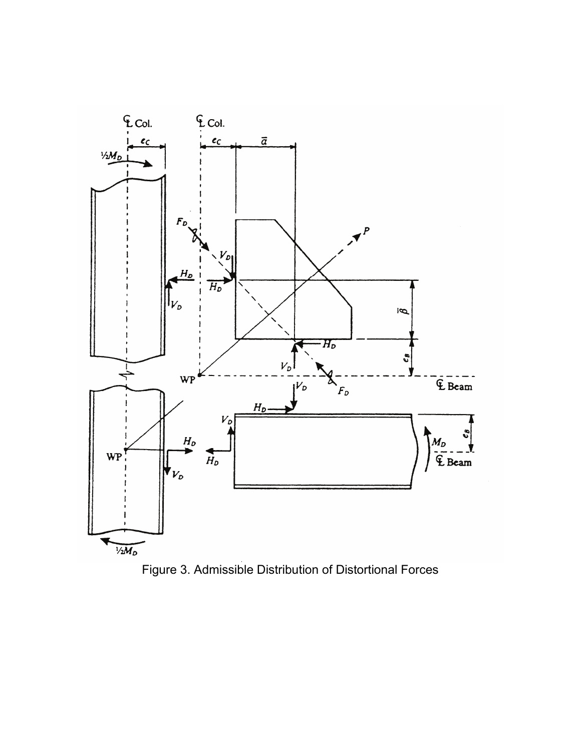

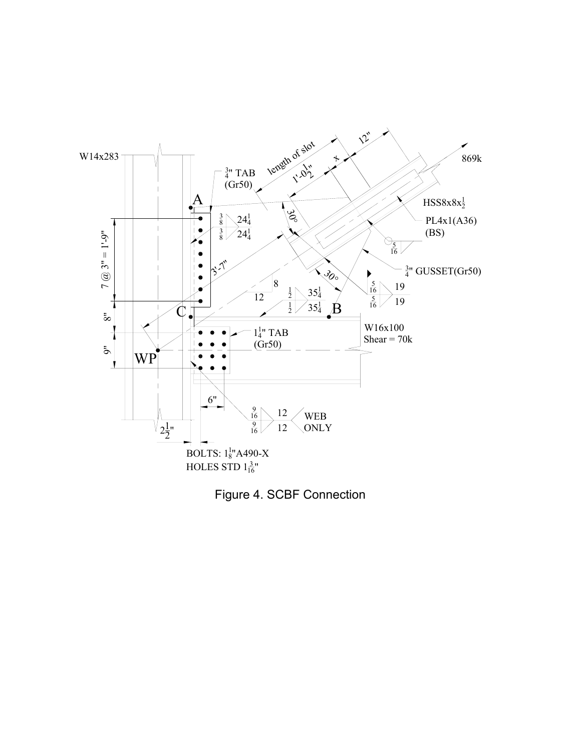

Figure 4. SCBF Connection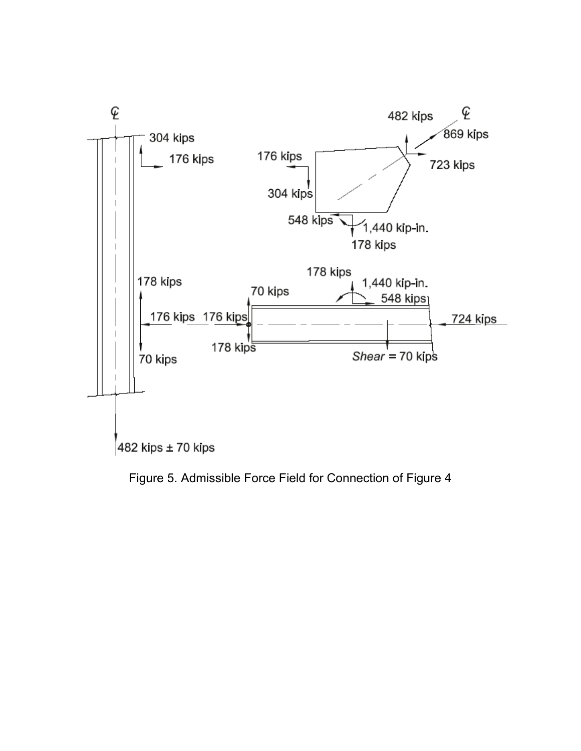

Figure 5. Admissible Force Field for Connection of Figure 4